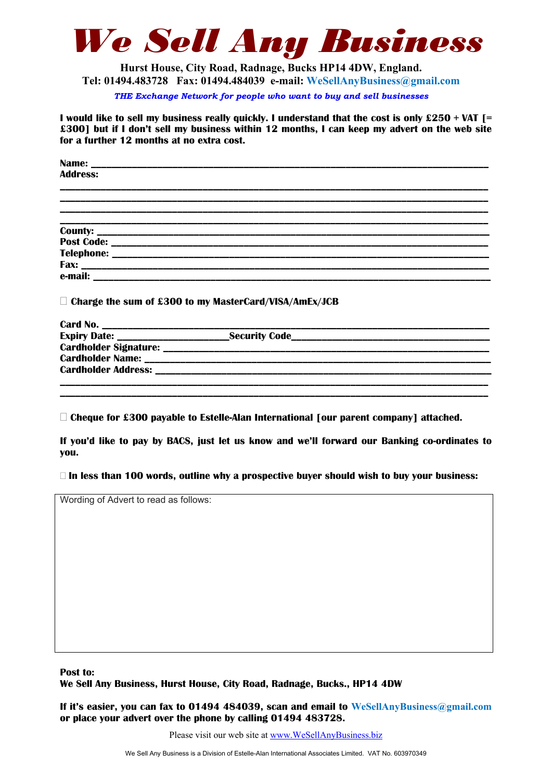

**Hurst House, City Road, Radnage, Bucks HP14 4DW, England. Tel: 01494.483728 Fax: 01494.484039 e-mail: WeSellAnyBusiness@gmail.com**

*THE Exchange Network for people who want to buy and sell businesses* 

**I would like to sell my business really quickly. I understand that the cost is only £250 + VAT [= £300] but if I don't sell my business within 12 months, I can keep my advert on the web site for a further 12 months at no extra cost.** 

**Name: \_\_\_\_\_\_\_\_\_\_\_\_\_\_\_\_\_\_\_\_\_\_\_\_\_\_\_\_\_\_\_\_\_\_\_\_\_\_\_\_\_\_\_\_\_\_\_\_\_\_\_\_\_\_\_\_\_\_\_\_\_\_\_\_\_\_\_\_\_\_\_\_\_\_\_\_\_\_ Address: \_\_\_\_\_\_\_\_\_\_\_\_\_\_\_\_\_\_\_\_\_\_\_\_\_\_\_\_\_\_\_\_\_\_\_\_\_\_\_\_\_\_\_\_\_\_\_\_\_\_\_\_\_\_\_\_\_\_\_\_\_\_\_\_\_\_\_\_\_\_\_\_\_\_\_\_\_\_\_\_\_\_\_\_ \_\_\_\_\_\_\_\_\_\_\_\_\_\_\_\_\_\_\_\_\_\_\_\_\_\_\_\_\_\_\_\_\_\_\_\_\_\_\_\_\_\_\_\_\_\_\_\_\_\_\_\_\_\_\_\_\_\_\_\_\_\_\_\_\_\_\_\_\_\_\_\_\_\_\_\_\_\_\_\_\_\_\_\_ \_\_\_\_\_\_\_\_\_\_\_\_\_\_\_\_\_\_\_\_\_\_\_\_\_\_\_\_\_\_\_\_\_\_\_\_\_\_\_\_\_\_\_\_\_\_\_\_\_\_\_\_\_\_\_\_\_\_\_\_\_\_\_\_\_\_\_\_\_\_\_\_\_\_\_\_\_\_\_\_\_\_\_\_ \_\_\_\_\_\_\_\_\_\_\_\_\_\_\_\_\_\_\_\_\_\_\_\_\_\_\_\_\_\_\_\_\_\_\_\_\_\_\_\_\_\_\_\_\_\_\_\_\_\_\_\_\_\_\_\_\_\_\_\_\_\_\_\_\_\_\_\_\_\_\_\_\_\_\_\_\_\_\_\_\_\_\_\_ County: \_\_\_\_\_\_\_\_\_\_\_\_\_\_\_\_\_\_\_\_\_\_\_\_\_\_\_\_\_\_\_\_\_\_\_\_\_\_\_\_\_\_\_\_\_\_\_\_\_\_\_\_\_\_\_\_\_\_\_\_\_\_\_\_\_\_\_\_\_\_\_\_\_\_\_\_\_ Post Code:**  $\blacksquare$ **Telephone: \_\_\_\_\_\_\_\_\_\_\_\_\_\_\_\_\_\_\_\_\_\_\_\_\_\_\_\_\_\_\_\_\_\_\_\_\_\_\_\_\_\_\_\_\_\_\_\_\_\_\_\_\_\_\_\_\_\_\_\_\_\_\_\_\_\_\_\_\_\_\_\_\_\_ Fax: \_\_\_\_\_\_\_\_\_\_\_\_\_\_\_\_\_\_\_\_\_\_\_\_\_\_\_\_\_\_\_\_\_\_\_\_\_\_\_\_\_\_\_\_\_\_\_\_\_\_\_\_\_\_\_\_\_\_\_\_\_\_\_\_\_\_\_\_\_\_\_\_\_\_\_\_\_\_\_\_ e-mail: \_\_\_\_\_\_\_\_\_\_\_\_\_\_\_\_\_\_\_\_\_\_\_\_\_\_\_\_\_\_\_\_\_\_\_\_\_\_\_\_\_\_\_\_\_\_\_\_\_\_\_\_\_\_\_\_\_\_\_\_\_\_\_\_\_\_\_\_\_\_\_\_\_\_\_\_\_\_ Charge the sum of £300 to my MasterCard/VISA/AmEx/JCB** 

| Card No.                     |                      |  |
|------------------------------|----------------------|--|
| <b>Expiry Date:</b>          | <b>Security Code</b> |  |
| <b>Cardholder Signature:</b> |                      |  |
| <b>Cardholder Name:</b>      |                      |  |
| <b>Cardholder Address:</b>   |                      |  |
|                              |                      |  |

**\_\_\_\_\_\_\_\_\_\_\_\_\_\_\_\_\_\_\_\_\_\_\_\_\_\_\_\_\_\_\_\_\_\_\_\_\_\_\_\_\_\_\_\_\_\_\_\_\_\_\_\_\_\_\_\_\_\_\_\_\_\_\_\_\_\_\_\_\_\_\_\_\_\_\_\_\_\_\_\_\_\_\_\_** 

**Cheque for £300 payable to Estelle-Alan International [our parent company] attached.** 

**If you'd like to pay by BACS, just let us know and we'll forward our Banking co-ordinates to you.** 

**In less than 100 words, outline why a prospective buyer should wish to buy your business:** 

Wording of Advert to read as follows:

**Post to: We Sell Any Business, Hurst House, City Road, Radnage, Bucks., HP14 4DW** 

**If it's easier, you can fax to 01494 484039, scan and email to WeSellAnyBusiness@gmail.com or place your advert over the phone by calling 01494 483728.** 

Please visit our web site at www.WeSellAnyBusiness.biz